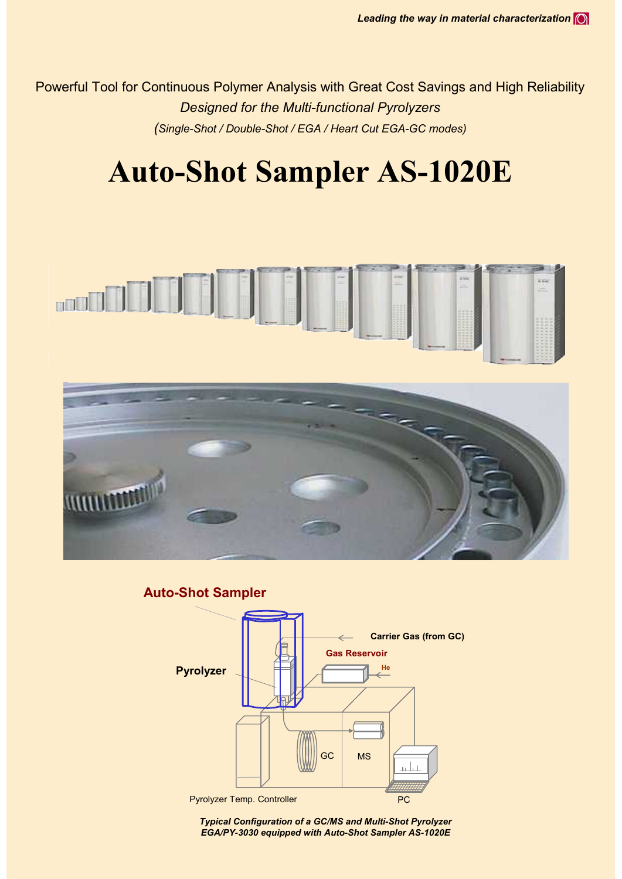Powerful Tool for Continuous Polymer Analysis with Great Cost Savings and High Reliability *Designed for the Multi-functional Pyrolyzers (Single-Shot / Double-Shot / EGA / Heart Cut EGA-GC modes)*

# **Auto-Shot Sampler AS-1020E**





**Auto-Shot Sampler**



*Typical Configuration of a GC/MS and Multi-Shot Pyrolyzer EGA/PY-3030 equipped with Auto-Shot Sampler AS-1020E*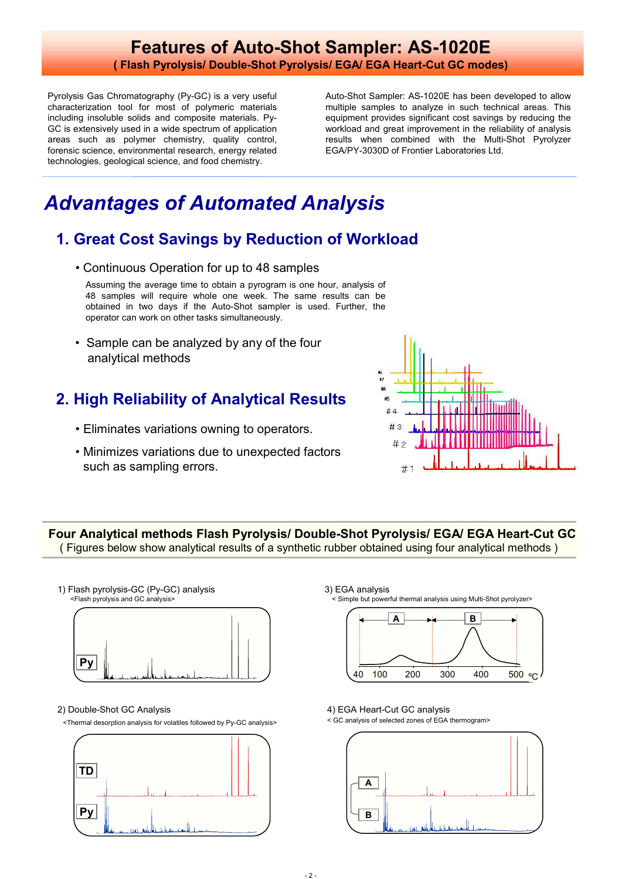### **Features of Auto-Shot Sampler: AS-1020E ( Flash Pyrolysis/ Double-Shot Pyrolysis/ EGA/ EGA Heart-Cut GC modes)**

Pyrolysis Gas Chromatography (Py-GC) is a very useful characterization tool for most of polymeric materials including insoluble solids and composite materials. Py-GC is extensively used in a wide spectrum of application areas such as polymer chemistry, quality control, forensic science, environmental research, energy related technologies, geological science, and food chemistry.

Auto-Shot Sampler: AS-1020E has been developed to allow multiple samples to analyze in such technical areas. This equipment provides significant cost savings by reducing the workload and great improvement in the reliability of analysis results when combined with the Multi-Shot Pyrolyzer EGA/PY-3030D of Frontier Laboratories Ltd.

## *Advantages of Automated Analysis*

## **1. Great Cost Savings by Reduction of Workload**

• Continuous Operation for up to 48 samples

Assuming the average time to obtain a pyrogram is one hour, analysis of 48 samples will require whole one week. The same results can be obtained in two days if the Auto-Shot sampler is used. Further, the operator can work on other tasks simultaneously.

• Sample can be analyzed by any of the four analytical methods

## **2. High Reliability of Analytical Results**

- Eliminates variations owning to operators.
- Minimizes variations due to unexpected factors such as sampling errors.



**Four Analytical methods Flash Pyrolysis/ Double-Shot Pyrolysis/ EGA/ EGA Heart-Cut GC** ( Figures below show analytical results of a synthetic rubber obtained using four analytical methods )

**Py** 1) Flash pyrolysis-GC (Py-GC) analysis <Flash pyrolysis and GC analysis>

2) Double-Shot GC Analysis

<Thermal desorption analysis for volatiles followed by Py-GC analysis>



3) EGA analysis < Simple but powerful thermal analysis using Multi-Shot pyrolyzer>



#### 4) EGA Heart-Cut GC analysis

< GC analysis of selected zones of EGA thermogram>

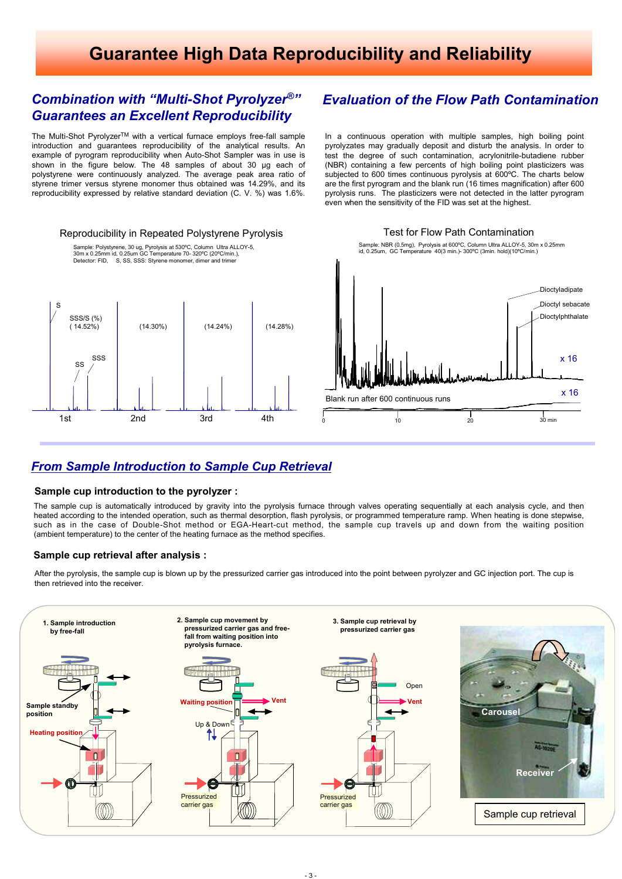## **Guarantee High Data Reproducibility and Reliability**

#### *Combination with "Multi-Shot Pyrolyzer ®" Guarantees an Excellent Reproducibility*

The Multi-Shot Pyrolyzer™ with a vertical furnace employs free-fall sample introduction and guarantees reproducibility of the analytical results. An example of pyrogram reproducibility when Auto-Shot Sampler was in use is shown in the figure below. The 48 samples of about 30 µg each of polystyrene were continuously analyzed. The average peak area ratio of styrene trimer versus styrene monomer thus obtained was 14.29%, and its reproducibility expressed by relative standard deviation (C. V. %) was 1.6%.



#### *Evaluation of the Flow Path Contamination*

In a continuous operation with multiple samples, high boiling point pyrolyzates may gradually deposit and disturb the analysis. In order to test the degree of such contamination, acrylonitrile-butadiene rubber (NBR) containing a few percents of high boiling point plasticizers was subjected to 600 times continuous pyrolysis at 600ºC. The charts below are the first pyrogram and the blank run (16 times magnification) after 600 pyrolysis runs. The plasticizers were not detected in the latter pyrogram even when the sensitivity of the FID was set at the highest.

> Sample: NBR (0.5mg), Pyrolysis at 600ºC, Column Ultra ALLOY-5, 30m x 0.25mm id, 0.25um, GC Temperature 40(3 min.)- 300ºC (3min. hold)(10ºC/min.)

Test for Flow Path Contamination



#### *From Sample Introduction to Sample Cup Retrieval*

#### **Sample cup introduction to the pyrolyzer :**

The sample cup is automatically introduced by gravity into the pyrolysis furnace through valves operating sequentially at each analysis cycle, and then heated according to the intended operation, such as thermal desorption, flash pyrolysis, or programmed temperature ramp. When heating is done stepwise, such as in the case of Double-Shot method or EGA-Heart-cut method, the sample cup travels up and down from the waiting position (ambient temperature) to the center of the heating furnace as the method specifies.

#### **Sample cup retrieval after analysis :**

After the pyrolysis, the sample cup is blown up by the pressurized carrier gas introduced into the point between pyrolyzer and GC injection port. The cup is then retrieved into the receiver.